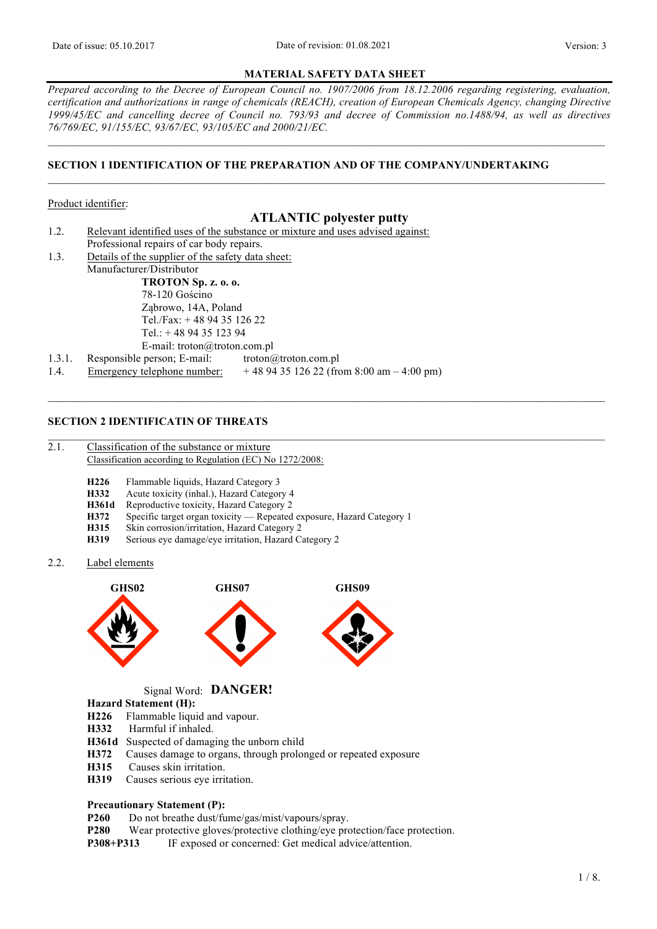### **MATERIAL SAFETY DATA SHEET**

*Prepared according to the Decree of European Council no. 1907/2006 from 18.12.2006 regarding registering, evaluation, certification and authorizations in range of chemicals (REACH), creation of European Chemicals Agency, changing Directive 1999/45/EC and cancelling decree of Council no. 793/93 and decree of Commission no.1488/94, as well as directives 76/769/EC, 91/155/EC, 93/67/EC, 93/105/EC and 2000/21/EC.*

 $\_$  , and the state of the state of the state of the state of the state of the state of the state of the state of the state of the state of the state of the state of the state of the state of the state of the state of the

# **SECTION 1 IDENTIFICATION OF THE PREPARATION AND OF THE COMPANY/UNDERTAKING**

### Product identifier:

# **ATLANTIC polyester putty**

 $\_$  , and the state of the state of the state of the state of the state of the state of the state of the state of the state of the state of the state of the state of the state of the state of the state of the state of the

 $\_$  , and the state of the state of the state of the state of the state of the state of the state of the state of the state of the state of the state of the state of the state of the state of the state of the state of the

- 1.2. Relevant identified uses of the substance or mixture and uses advised against: Professional repairs of car body repairs.
- 1.3. Details of the supplier of the safety data sheet: Manufacturer/Distributor

**TROTON Sp. z. o. o.** 78-120 Gościno Ząbrowo, 14A, Poland Tel./Fax: + 48 94 35 126 22 Tel.: + 48 94 35 123 94 E-mail: troton@troton.com.pl

1.3.1. Responsible person; E-mail: troton@troton.com.pl 1.4. Emergency telephone number: + 48 94 35 126 22 (from 8:00 am – 4:00 pm)

# **SECTION 2 IDENTIFICATIN OF THREATS**

- 2.1. Classification of the substance or mixture Classification according to Regulation (EC) No 1272/2008:
	- **H226** Flammable liquids, Hazard Category 3<br>**H332** Acute toxicity (inhal.) Hazard Categor
	- Acute toxicity (inhal.), Hazard Category 4
	- **H361d** Reproductive toxicity, Hazard Category 2
	- **H372** Specific target organ toxicity Repeated exposure, Hazard Category 1<br>**H315** Skin corrosion/irritation Hazard Category 2
	- Skin corrosion/irritation, Hazard Category 2
	- **H319** Serious eye damage/eye irritation, Hazard Category 2
- 2.2. Label elements



Signal Word: **DANGER!** 

### **Hazard Statement (H):**

- **H226** Flammable liquid and vapour.
- **H332** Harmful if inhaled.
- **H361d** Suspected of damaging the unborn child
- H372 Causes damage to organs, through prolonged or repeated exposure<br>H315 Causes skin irritation.
- Causes skin irritation.
- **H319** Causes serious eye irritation.

## **Precautionary Statement (P):**

- **P260** Do not breathe dust/fume/gas/mist/vapours/spray.
- **P280** Wear protective gloves/protective clothing/eye protection/face protection.
- **P308+P313** IF exposed or concerned: Get medical advice/attention.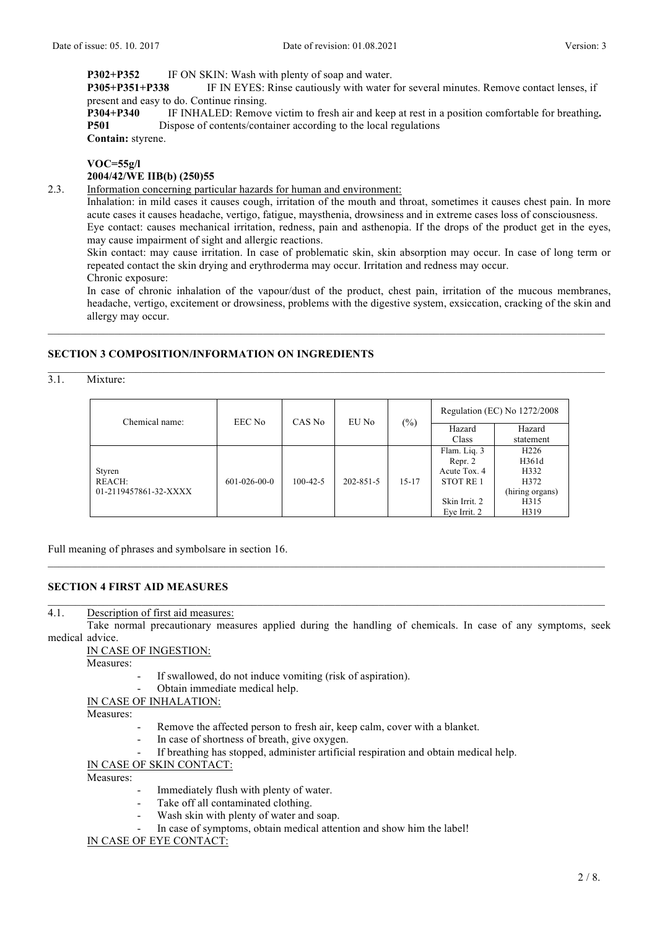**P302+P352** IF ON SKIN: Wash with plenty of soap and water.

**P305+P351+P338** IF IN EYES: Rinse cautiously with water for several minutes. Remove contact lenses, if present and easy to do. Continue rinsing.

**P304+P340** IF INHALED: Remove victim to fresh air and keep at rest in a position comfortable for breathing**. P501** Dispose of contents/container according to the local regulations **Contain:** styrene.

## **VOC=55g/l**

## **2004/42/WE IIB(b) (250)55**

2.3. Information concerning particular hazards for human and environment:

Inhalation: in mild cases it causes cough, irritation of the mouth and throat, sometimes it causes chest pain. In more acute cases it causes headache, vertigo, fatigue, maysthenia, drowsiness and in extreme cases loss of consciousness. Eye contact: causes mechanical irritation, redness, pain and asthenopia. If the drops of the product get in the eyes,

may cause impairment of sight and allergic reactions.

Skin contact: may cause irritation. In case of problematic skin, skin absorption may occur. In case of long term or repeated contact the skin drying and erythroderma may occur. Irritation and redness may occur.

Chronic exposure:

In case of chronic inhalation of the vapour/dust of the product, chest pain, irritation of the mucous membranes, headache, vertigo, excitement or drowsiness, problems with the digestive system, exsiccation, cracking of the skin and allergy may occur.

# **SECTION 3 COMPOSITION/INFORMATION ON INGREDIENTS**

3.1. Mixture:

| Chemical name:        | $(\%)$<br>EEC No<br>CAS No<br>EU No |                | Regulation (EC) No 1272/2008 |           |                      |                  |
|-----------------------|-------------------------------------|----------------|------------------------------|-----------|----------------------|------------------|
|                       |                                     |                |                              |           | Hazard               | Hazard           |
|                       |                                     |                |                              |           | Class                | statement        |
|                       |                                     |                |                              |           | Flam. Liq. 3         | H <sub>226</sub> |
|                       | $601 - 026 - 00 - 0$                | $100 - 42 - 5$ | 202-851-5                    | $15 - 17$ | Repr. 2              | H361d            |
| Styren                |                                     |                |                              |           | Acute Tox. 4         | H332             |
| <b>REACH:</b>         |                                     |                |                              |           | STOT RE <sub>1</sub> | H372             |
| 01-2119457861-32-XXXX |                                     |                |                              |           |                      | (hiring organs)  |
|                       |                                     |                |                              |           | Skin Irrit. 2        | H315             |
|                       |                                     |                |                              |           | Eye Irrit. 2         | H319             |

 $\_$  , and the state of the state of the state of the state of the state of the state of the state of the state of the state of the state of the state of the state of the state of the state of the state of the state of the

Full meaning of phrases and symbolsare in section 16.

## **SECTION 4 FIRST AID MEASURES**

# 4.1. Description of first aid measures:

Take normal precautionary measures applied during the handling of chemicals. In case of any symptoms, seek medical advice.

 $\_$  , and the state of the state of the state of the state of the state of the state of the state of the state of the state of the state of the state of the state of the state of the state of the state of the state of the

## IN CASE OF INGESTION:

Measures:

- If swallowed, do not induce vomiting (risk of aspiration).
- Obtain immediate medical help.

### IN CASE OF INHALATION:

Measures:

- Remove the affected person to fresh air, keep calm, cover with a blanket.
- In case of shortness of breath, give oxygen.
- If breathing has stopped, administer artificial respiration and obtain medical help.

IN CASE OF SKIN CONTACT:

Measures:

- Immediately flush with plenty of water.
- Take off all contaminated clothing.
- Wash skin with plenty of water and soap.
- In case of symptoms, obtain medical attention and show him the label!

IN CASE OF EYE CONTACT: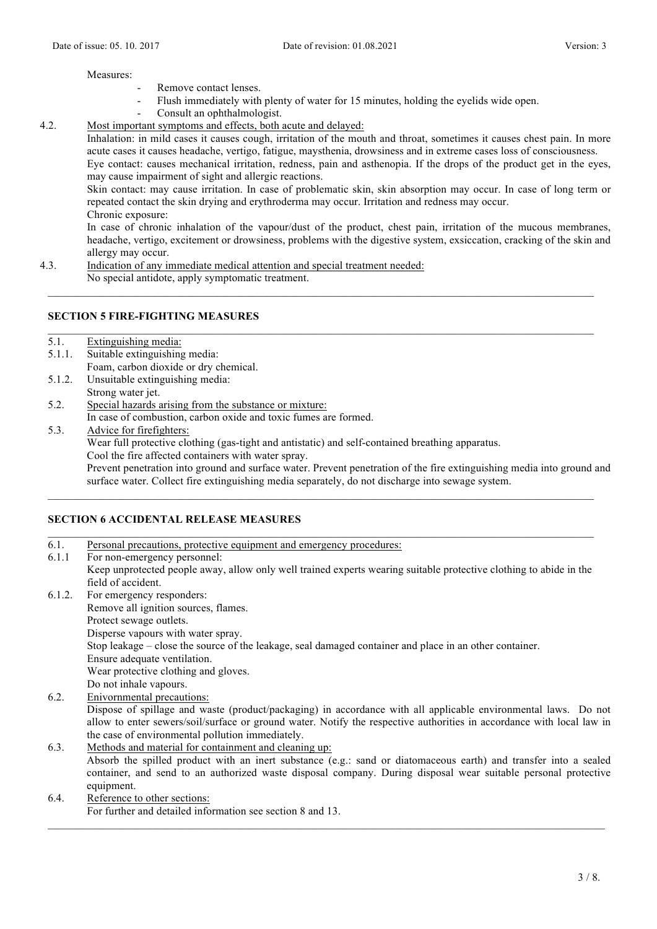### Measures:

- Remove contact lenses.
- Flush immediately with plenty of water for 15 minutes, holding the eyelids wide open.
- Consult an ophthalmologist.

# 4.2. Most important symptoms and effects, both acute and delayed:

Inhalation: in mild cases it causes cough, irritation of the mouth and throat, sometimes it causes chest pain. In more acute cases it causes headache, vertigo, fatigue, maysthenia, drowsiness and in extreme cases loss of consciousness. Eye contact: causes mechanical irritation, redness, pain and asthenopia. If the drops of the product get in the eyes, may cause impairment of sight and allergic reactions.

Skin contact: may cause irritation. In case of problematic skin, skin absorption may occur. In case of long term or repeated contact the skin drying and erythroderma may occur. Irritation and redness may occur. Chronic exposure:

In case of chronic inhalation of the vapour/dust of the product, chest pain, irritation of the mucous membranes, headache, vertigo, excitement or drowsiness, problems with the digestive system, exsiccation, cracking of the skin and allergy may occur.

4.3. Indication of any immediate medical attention and special treatment needed:

No special antidote, apply symptomatic treatment.

# **SECTION 5 FIRE-FIGHTING MEASURES**

5.1. Extinguishing media: 5.1.1. Suitable extinguishing media:

- Foam, carbon dioxide or dry chemical.
- 5.1.2. Unsuitable extinguishing media: Strong water jet.
- 5.2. Special hazards arising from the substance or mixture: In case of combustion, carbon oxide and toxic fumes are formed.
- 5.3. Advice for firefighters:
	- Wear full protective clothing (gas-tight and antistatic) and self-contained breathing apparatus.
	- Cool the fire affected containers with water spray.

Prevent penetration into ground and surface water. Prevent penetration of the fire extinguishing media into ground and surface water. Collect fire extinguishing media separately, do not discharge into sewage system.

 $\_$  , and the state of the state of the state of the state of the state of the state of the state of the state of the state of the state of the state of the state of the state of the state of the state of the state of the

 $\mathcal{L}_\text{max}$ 

# **SECTION 6 ACCIDENTAL RELEASE MEASURES**

6.1. Personal precautions, protective equipment and emergency procedures: 6.1.1 For non-emergency personnel: Keep unprotected people away, allow only well trained experts wearing suitable protective clothing to abide in the field of accident. 6.1.2. For emergency responders: Remove all ignition sources, flames. Protect sewage outlets. Disperse vapours with water spray. Stop leakage – close the source of the leakage, seal damaged container and place in an other container. Ensure adequate ventilation.

Wear protective clothing and gloves.

- Do not inhale vapours.
- 6.2. Enivornmental precautions: Dispose of spillage and waste (product/packaging) in accordance with all applicable environmental laws. Do not allow to enter sewers/soil/surface or ground water. Notify the respective authorities in accordance with local law in the case of environmental pollution immediately.
- 6.3. Methods and material for containment and cleaning up: Absorb the spilled product with an inert substance (e.g.: sand or diatomaceous earth) and transfer into a sealed container, and send to an authorized waste disposal company. During disposal wear suitable personal protective equipment.
- 6.4. Reference to other sections: For further and detailed information see section 8 and 13.  $\_$  , and the state of the state of the state of the state of the state of the state of the state of the state of the state of the state of the state of the state of the state of the state of the state of the state of the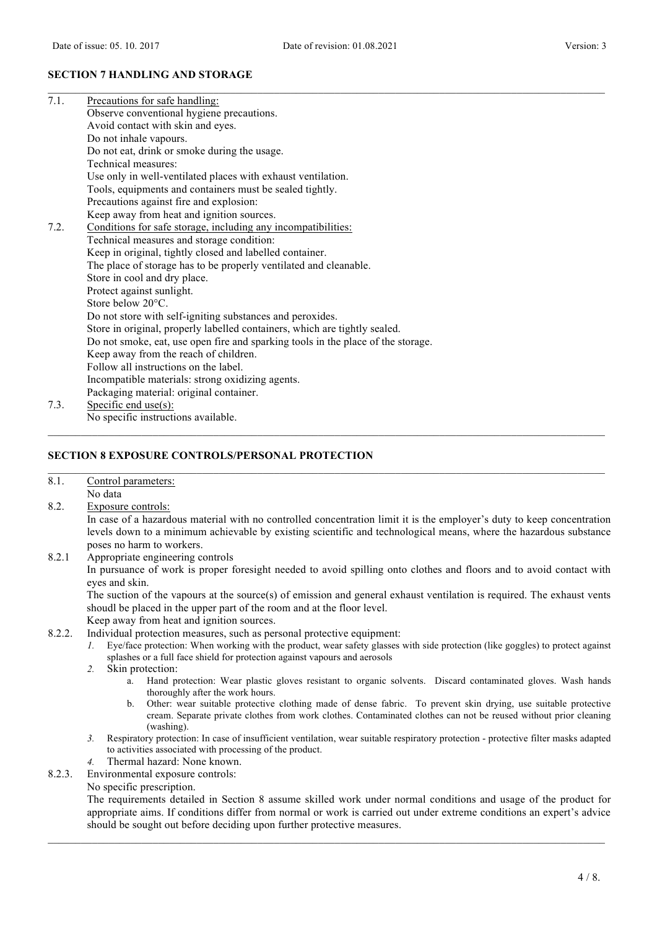### **SECTION 7 HANDLING AND STORAGE**

| 7.1. | Precautions for safe handling:                                                   |
|------|----------------------------------------------------------------------------------|
|      | Observe conventional hygiene precautions.                                        |
|      | Avoid contact with skin and eyes.                                                |
|      | Do not inhale vapours.                                                           |
|      | Do not eat, drink or smoke during the usage.                                     |
|      | Technical measures:                                                              |
|      | Use only in well-ventilated places with exhaust ventilation.                     |
|      | Tools, equipments and containers must be sealed tightly.                         |
|      | Precautions against fire and explosion:                                          |
|      | Keep away from heat and ignition sources.                                        |
| 7.2. | Conditions for safe storage, including any incompatibilities:                    |
|      | Technical measures and storage condition:                                        |
|      | Keep in original, tightly closed and labelled container.                         |
|      | The place of storage has to be properly ventilated and cleanable.                |
|      | Store in cool and dry place.                                                     |
|      | Protect against sunlight.                                                        |
|      | Store below 20°C.                                                                |
|      | Do not store with self-igniting substances and peroxides.                        |
|      | Store in original, properly labelled containers, which are tightly sealed.       |
|      | Do not smoke, eat, use open fire and sparking tools in the place of the storage. |
|      | Keep away from the reach of children.                                            |
|      | Follow all instructions on the label.                                            |
|      | Incompatible materials: strong oxidizing agents.                                 |
|      | Packaging material: original container.                                          |
| 7.3. | Specific end use $(s)$ :                                                         |
|      | No specific instructions available.                                              |

### **SECTION 8 EXPOSURE CONTROLS/PERSONAL PROTECTION**

#### 8.1. Control parameters: No data

8.2. Exposure controls:

In case of a hazardous material with no controlled concentration limit it is the employer's duty to keep concentration levels down to a minimum achievable by existing scientific and technological means, where the hazardous substance poses no harm to workers.

 $\_$  , and the state of the state of the state of the state of the state of the state of the state of the state of the state of the state of the state of the state of the state of the state of the state of the state of the

 $\_$  , and the state of the state of the state of the state of the state of the state of the state of the state of the state of the state of the state of the state of the state of the state of the state of the state of the

8.2.1 Appropriate engineering controls

In pursuance of work is proper foresight needed to avoid spilling onto clothes and floors and to avoid contact with eyes and skin.

The suction of the vapours at the source(s) of emission and general exhaust ventilation is required. The exhaust vents shoudl be placed in the upper part of the room and at the floor level.

Keep away from heat and ignition sources.

- 8.2.2. Individual protection measures, such as personal protective equipment:
	- *1.* Eye/face protection: When working with the product, wear safety glasses with side protection (like goggles) to protect against splashes or a full face shield for protection against vapours and aerosols
	- *2.* Skin protection:
		- a. Hand protection: Wear plastic gloves resistant to organic solvents. Discard contaminated gloves. Wash hands thoroughly after the work hours.
		- b. Other: wear suitable protective clothing made of dense fabric. To prevent skin drying, use suitable protective cream. Separate private clothes from work clothes. Contaminated clothes can not be reused without prior cleaning (washing).
	- *3.* Respiratory protection: In case of insufficient ventilation, wear suitable respiratory protection protective filter masks adapted to activities associated with processing of the product.
	- *4.* Thermal hazard: None known.
- 8.2.3. Environmental exposure controls:

No specific prescription.

The requirements detailed in Section 8 assume skilled work under normal conditions and usage of the product for appropriate aims. If conditions differ from normal or work is carried out under extreme conditions an expert's advice should be sought out before deciding upon further protective measures.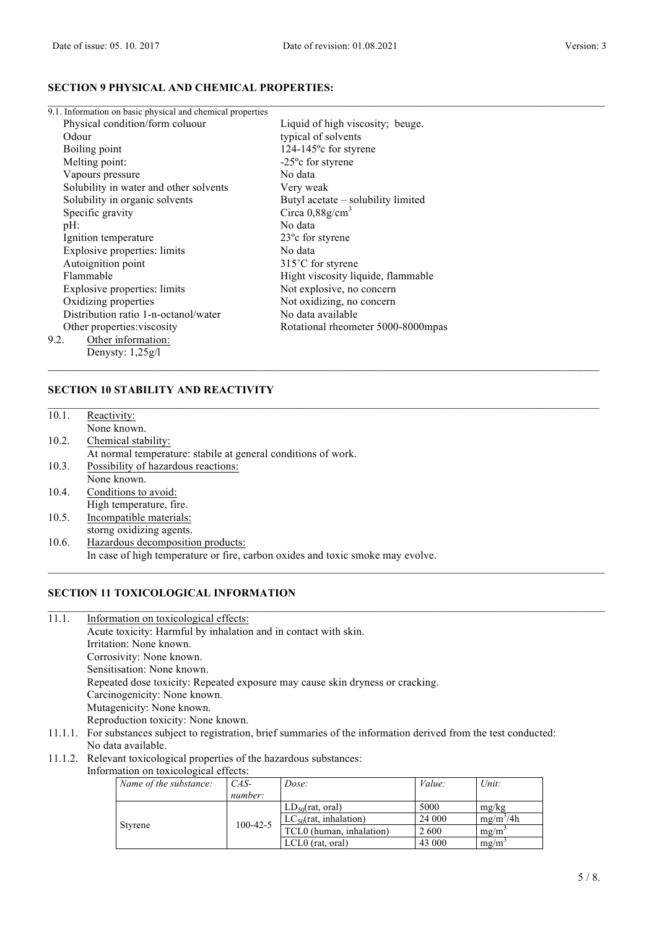# **SECTION 9 PHYSICAL AND CHEMICAL PROPERTIES:**

| 9.1. Information on basic physical and chemical properties |                                    |
|------------------------------------------------------------|------------------------------------|
| Physical condition/form coluour                            | Liquid of high viscosity; beuge.   |
| Odour                                                      | typical of solvents                |
| Boiling point                                              | $124-145^{\circ}$ c for styrene    |
| Melting point:                                             | $-25^{\circ}$ c for styrene        |
| Vapours pressure                                           | No data                            |
| Solubility in water and other solvents                     | Very weak                          |
| Solubility in organic solvents                             | Butyl acetate – solubility limited |
| Specific gravity                                           | Circa $0.88$ g/cm <sup>3</sup>     |
| $pH$ :                                                     | No data                            |
| Ignition temperature                                       | 23 <sup>o</sup> c for styrene      |
| Explosive properties: limits                               | No data                            |
| Autoignition point                                         | 315°C for styrene                  |
| Flammable                                                  | Hight viscosity liquide, flammable |
| Explosive properties: limits                               | Not explosive, no concern          |
| Oxidizing properties                                       | Not oxidizing, no concern          |
| Distribution ratio 1-n-octanol/water                       | No data available                  |
| Other properties: viscosity                                | Rotational rheometer 5000-8000mpas |
| Other information:<br>9.2.                                 |                                    |
| Denysty: $1,25g/l$                                         |                                    |

# **SECTION 10 STABILITY AND REACTIVITY**

| 10.1. | Reactivity:                                                                    |
|-------|--------------------------------------------------------------------------------|
|       | None known.                                                                    |
| 10.2. | Chemical stability:                                                            |
|       | At normal temperature: stabile at general conditions of work.                  |
| 10.3. | Possibility of hazardous reactions:                                            |
|       | None known.                                                                    |
| 10.4. | Conditions to avoid:                                                           |
|       | High temperature, fire.                                                        |
| 10.5. | Incompatible materials:                                                        |
|       | storng oxidizing agents.                                                       |
| 10.6. | Hazardous decomposition products:                                              |
|       | In case of high temperature or fire, carbon oxides and toxic smoke may evolve. |

# **SECTION 11 TOXICOLOGICAL INFORMATION**

11.1. Information on toxicological effects:

Acute toxicity: Harmful by inhalation and in contact with skin. Irritation: None known. Corrosivity: None known. Sensitisation: None known. Repeated dose toxicity: Repeated exposure may cause skin dryness or cracking. Carcinogenicity: None known. Mutagenicity: None known. Reproduction toxicity: None known. 11.1.1. For substances subject to registration, brief summaries of the information derived from the test conducted:

- No data available.
- 11.1.2. Relevant toxicological properties of the hazardous substances:

Information on toxicological effects:

| Name of the substance: | $CAS-$         | Dose:                      | Value: | Unit:       |
|------------------------|----------------|----------------------------|--------|-------------|
|                        | number:        |                            |        |             |
|                        |                | $LD_{50}$ (rat, oral)      | 5000   | mg/kg       |
|                        |                | $LC_{50}(rat, inhalation)$ | 24 000 | $mg/m^3/4h$ |
| Styrene                | $100 - 42 - 5$ | TCL0 (human, inhalation)   | 2 600  | $mg/m^2$    |
|                        |                | $LCL0$ (rat, oral)         | 43 000 | $m\Omega/m$ |

 $\_$  , and the state of the state of the state of the state of the state of the state of the state of the state of the state of the state of the state of the state of the state of the state of the state of the state of the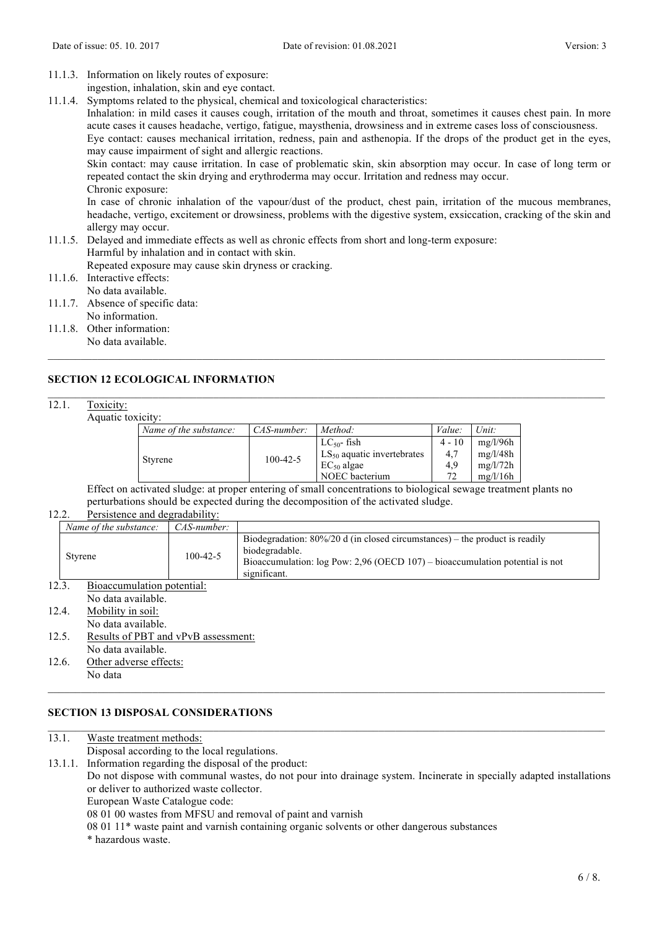- 11.1.3. Information on likely routes of exposure:
- ingestion, inhalation, skin and eye contact.
- 11.1.4. Symptoms related to the physical, chemical and toxicological characteristics:

Inhalation: in mild cases it causes cough, irritation of the mouth and throat, sometimes it causes chest pain. In more acute cases it causes headache, vertigo, fatigue, maysthenia, drowsiness and in extreme cases loss of consciousness.

Eye contact: causes mechanical irritation, redness, pain and asthenopia. If the drops of the product get in the eyes, may cause impairment of sight and allergic reactions.

Skin contact: may cause irritation. In case of problematic skin, skin absorption may occur. In case of long term or repeated contact the skin drying and erythroderma may occur. Irritation and redness may occur. Chronic exposure:

In case of chronic inhalation of the vapour/dust of the product, chest pain, irritation of the mucous membranes, headache, vertigo, excitement or drowsiness, problems with the digestive system, exsiccation, cracking of the skin and allergy may occur.

11.1.5. Delayed and immediate effects as well as chronic effects from short and long-term exposure: Harmful by inhalation and in contact with skin.

Repeated exposure may cause skin dryness or cracking.

- 11.1.6. Interactive effects: No data available.
- 11.1.7. Absence of specific data:
- No information.
- 11.1.8. Other information: No data available.

# **SECTION 12 ECOLOGICAL INFORMATION**

## 12.1. Toxicity:

Aquatic toxicity:

| ,,,,,,,,,,     |                        |                 |                                 |              |          |
|----------------|------------------------|-----------------|---------------------------------|--------------|----------|
|                | Name of the substance: | $CAS-number:$   | Method:                         | Value:       | Unit:    |
|                |                        |                 | $LC_{50}$ - fish                | $4 - 10$     | mg/l/96h |
|                |                        | $100 - 42 - 5$  | $LS_{50}$ aquatic invertebrates | 4.7          | mg/l/48h |
| <b>Styrene</b> |                        | $EC_{50}$ algae | 4.9                             | mg/l/72h     |          |
|                |                        |                 | NOEC bacterium                  | $72^{\circ}$ | mg/l/16h |

 $\_$  , and the state of the state of the state of the state of the state of the state of the state of the state of the state of the state of the state of the state of the state of the state of the state of the state of the

Effect on activated sludge: at proper entering of small concentrations to biological sewage treatment plants no perturbations should be expected during the decomposition of the activated sludge.

### 12.2. Persistence and degradability:

| Name of the substance: | $CAS-number:$  |                                                                                                                                                                                                    |
|------------------------|----------------|----------------------------------------------------------------------------------------------------------------------------------------------------------------------------------------------------|
| <b>Styrene</b>         | $100 - 42 - 5$ | Biodegradation: $80\%/20$ d (in closed circumstances) – the product is readily<br>biodegradable.<br>Bioaccumulation: $log Pow: 2.96$ (OECD 107) – bioaccumulation potential is not<br>significant. |

# 12.3. Bioaccumulation potential:

No data available.  $12.4$  Mobility in soil:

No data available.

- 12.5. Results of PBT and vPvB assessment: No data available.
- 12.6. Other adverse effects: No data

## **SECTION 13 DISPOSAL CONSIDERATIONS**

13.1. Waste treatment methods: Disposal according to the local regulations. 13.1.1. Information regarding the disposal of the product: Do not dispose with communal wastes, do not pour into drainage system. Incinerate in specially adapted installations or deliver to authorized waste collector. European Waste Catalogue code: 08 01 00 wastes from MFSU and removal of paint and varnish 08 01 11\* waste paint and varnish containing organic solvents or other dangerous substances

 $\_$  , and the state of the state of the state of the state of the state of the state of the state of the state of the state of the state of the state of the state of the state of the state of the state of the state of the

 $\mathcal{L}_\text{max} = \frac{1}{2} \sum_{i=1}^n \mathcal{L}_\text{max} = \frac{1}{2} \sum_{i=1}^n \mathcal{L}_\text{max} = \frac{1}{2} \sum_{i=1}^n \mathcal{L}_\text{max} = \frac{1}{2} \sum_{i=1}^n \mathcal{L}_\text{max} = \frac{1}{2} \sum_{i=1}^n \mathcal{L}_\text{max} = \frac{1}{2} \sum_{i=1}^n \mathcal{L}_\text{max} = \frac{1}{2} \sum_{i=1}^n \mathcal{L}_\text{max} = \frac{1}{2} \sum_{i=$ 

\* hazardous waste.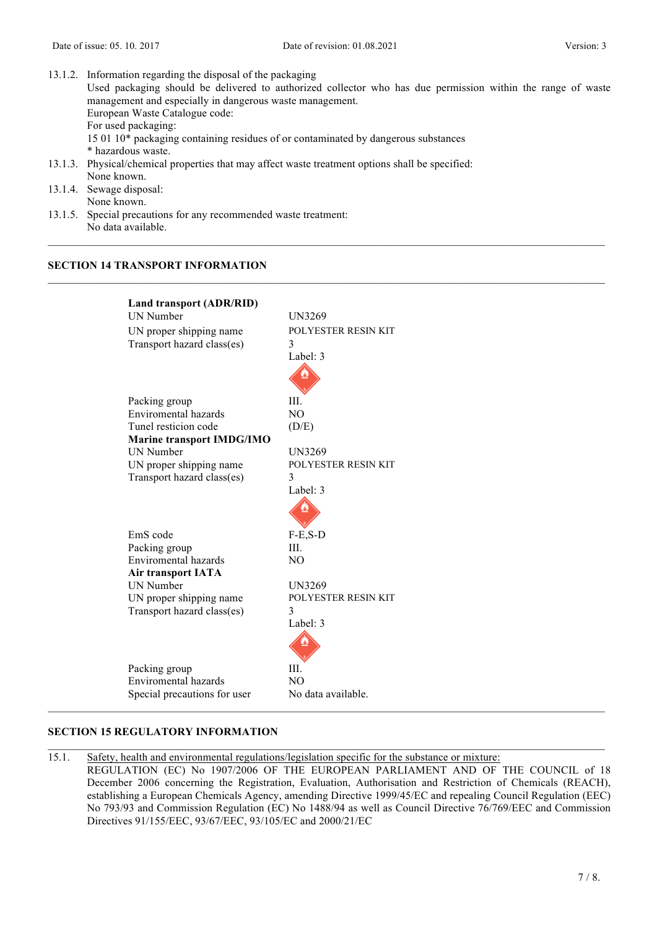| 13.1.2. Information regarding the disposal of the packaging                                                 |
|-------------------------------------------------------------------------------------------------------------|
| Used packaging should be delivered to authorized collector who has due permission within the range of waste |
| management and especially in dangerous waste management.                                                    |
| European Waste Catalogue code:                                                                              |
| For used packaging:                                                                                         |
| 15 01 10* packaging containing residues of or contaminated by dangerous substances                          |
| * hazardous waste.                                                                                          |
| 13.1.3. Physical/chemical properties that may affect waste treatment options shall be specified:            |
| None known.                                                                                                 |
| 13.1.4. Sewage disposal:                                                                                    |
| None known.                                                                                                 |
| 13.1.5. Special precautions for any recommended waste treatment:                                            |

 $\mathcal{L}_\text{max} = \frac{1}{2} \sum_{i=1}^n \mathcal{L}_\text{max} = \frac{1}{2} \sum_{i=1}^n \mathcal{L}_\text{max} = \frac{1}{2} \sum_{i=1}^n \mathcal{L}_\text{max} = \frac{1}{2} \sum_{i=1}^n \mathcal{L}_\text{max} = \frac{1}{2} \sum_{i=1}^n \mathcal{L}_\text{max} = \frac{1}{2} \sum_{i=1}^n \mathcal{L}_\text{max} = \frac{1}{2} \sum_{i=1}^n \mathcal{L}_\text{max} = \frac{1}{2} \sum_{i=$ 

No data available.

# **SECTION 14 TRANSPORT INFORMATION**

| Land transport (ADR/RID)         |                     |
|----------------------------------|---------------------|
| <b>IJN Number</b>                | UN3269              |
| UN proper shipping name          | POLYESTER RESIN KIT |
| Transport hazard class(es)       | 3                   |
|                                  | Label: 3            |
|                                  |                     |
|                                  |                     |
| Packing group                    | HI.                 |
| Enviromental hazards             | NO.                 |
| Tunel resticion code             | (D/E)               |
| <b>Marine transport IMDG/IMO</b> |                     |
| <b>IJN Number</b>                | UN3269              |
| UN proper shipping name          | POLYESTER RESIN KIT |
| Transport hazard class(es)       | 3                   |
|                                  | Label: 3            |
|                                  |                     |
|                                  |                     |
| EmS code                         | $F-E,S-D$           |
| Packing group                    | III                 |
| Enviromental hazards             | NO                  |
| <b>Air transport IATA</b>        |                     |
| <b>IJN Number</b>                | UN3269              |
| UN proper shipping name          | POLYESTER RESIN KIT |
| Transport hazard class(es)       | 3                   |
|                                  | Label: 3            |
|                                  |                     |
|                                  |                     |
| Packing group                    | Ш.                  |
| Enviromental hazards             | N <sub>O</sub>      |
| Special precautions for user     | No data available.  |

## **SECTION 15 REGULATORY INFORMATION**

15.1. Safety, health and environmental regulations/legislation specific for the substance or mixture: REGULATION (EC) No 1907/2006 OF THE EUROPEAN PARLIAMENT AND OF THE COUNCIL of 18 December 2006 concerning the Registration, Evaluation, Authorisation and Restriction of Chemicals (REACH), establishing a European Chemicals Agency, amending Directive 1999/45/EC and repealing Council Regulation (EEC) No 793/93 and Commission Regulation (EC) No 1488/94 as well as Council Directive 76/769/EEC and Commission Directives 91/155/EEC, 93/67/EEC, 93/105/EC and 2000/21/EC

 $\mathcal{L}_\text{max} = \frac{1}{2} \sum_{i=1}^n \mathcal{L}_\text{max} = \frac{1}{2} \sum_{i=1}^n \mathcal{L}_\text{max} = \frac{1}{2} \sum_{i=1}^n \mathcal{L}_\text{max} = \frac{1}{2} \sum_{i=1}^n \mathcal{L}_\text{max} = \frac{1}{2} \sum_{i=1}^n \mathcal{L}_\text{max} = \frac{1}{2} \sum_{i=1}^n \mathcal{L}_\text{max} = \frac{1}{2} \sum_{i=1}^n \mathcal{L}_\text{max} = \frac{1}{2} \sum_{i=$